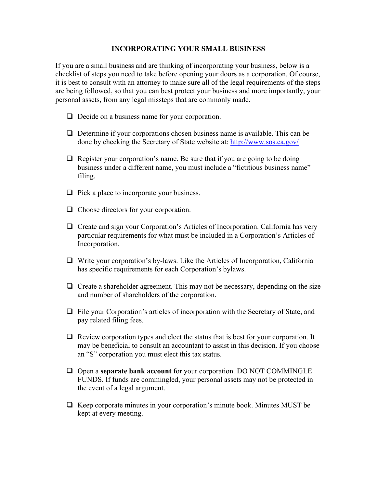## **INCORPORATING YOUR SMALL BUSINESS**

If you are a small business and are thinking of incorporating your business, below is a checklist of steps you need to take before opening your doors as a corporation. Of course, it is best to consult with an attorney to make sure all of the legal requirements of the steps are being followed, so that you can best protect your business and more importantly, your personal assets, from any legal missteps that are commonly made.

- $\Box$  Decide on a business name for your corporation.
- $\Box$  Determine if your corporations chosen business name is available. This can be done by checking the Secretary of State website at: http://www.sos.ca.gov/
- $\Box$  Register your corporation's name. Be sure that if you are going to be doing business under a different name, you must include a "fictitious business name" filing.
- $\Box$  Pick a place to incorporate your business.
- □ Choose directors for your corporation.
- $\Box$  Create and sign your Corporation's Articles of Incorporation. California has very particular requirements for what must be included in a Corporation's Articles of Incorporation.
- $\Box$  Write your corporation's by-laws. Like the Articles of Incorporation, California has specific requirements for each Corporation's bylaws.
- $\Box$  Create a shareholder agreement. This may not be necessary, depending on the size and number of shareholders of the corporation.
- $\Box$  File your Corporation's articles of incorporation with the Secretary of State, and pay related filing fees.
- $\Box$  Review corporation types and elect the status that is best for your corporation. It may be beneficial to consult an accountant to assist in this decision. If you choose an "S" corporation you must elect this tax status.
- Open a **separate bank account** for your corporation. DO NOT COMMINGLE FUNDS. If funds are commingled, your personal assets may not be protected in the event of a legal argument.
- $\Box$  Keep corporate minutes in your corporation's minute book. Minutes MUST be kept at every meeting.